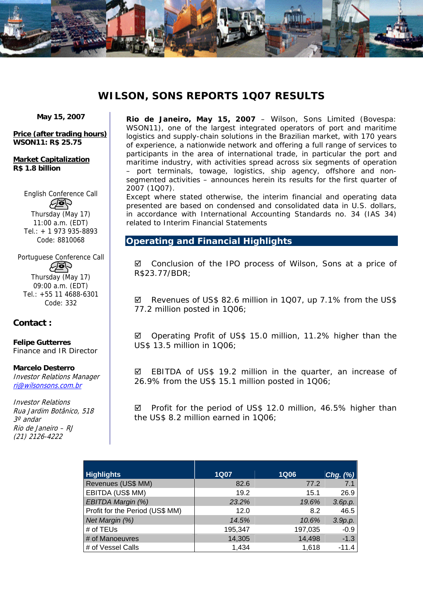

# **WILSON, SONS REPORTS 1Q07 RESULTS**

**May 15, 2007** 

**Price (after trading hours) WSON11: R\$ 25.75** 

**Market Capitalization R\$ 1.8 billion** 

> English Conference Call Aop Thursday (May 17) 11:00 a.m. (EDT)

Tel.: + 1 973 935-8893 Code: 8810068

Portuguese Conference Call

**Agh** Thursday (May 17) 09:00 a.m. (EDT) Tel.: +55 11 4688-6301 Code: 332

# **Contact :**

**Felipe Gutterres**  *Finance and IR Director*

#### **Marcelo Desterro**

Investor Relations Manager ri@wilsonsons.com.br

Investor Relations Rua Jardim Botânico, 518 3º andar Rio de Janeiro – RJ (21) 2126-4222

**Rio de Janeiro, May 15, 2007** – Wilson, Sons Limited (Bovespa: WSON11), one of the largest integrated operators of port and maritime logistics and supply-chain solutions in the Brazilian market, with 170 years of experience, a nationwide network and offering a full range of services to participants in the area of international trade, in particular the port and maritime industry, with activities spread across six segments of operation – port terminals, towage, logistics, ship agency, offshore and nonsegmented activities – announces herein its results for the first quarter of 2007 (1Q07).

Except where stated otherwise, the interim financial and operating data presented are based on condensed and consolidated data in U.S. dollars, in accordance with International Accounting Standards no. 34 (IAS 34) related to Interim Financial Statements

# **Operating and Financial Highlights**

 $\boxtimes$  Conclusion of the IPO process of Wilson, Sons at a price of R\$23.77/BDR;

 $\boxtimes$  Revenues of US\$ 82.6 million in 1Q07, up 7.1% from the US\$ 77.2 million posted in 1Q06;

■ Operating Profit of US\$ 15.0 million, 11.2% higher than the US\$ 13.5 million in 1Q06;

 $\boxtimes$  EBITDA of US\$ 19.2 million in the quarter, an increase of 26.9% from the US\$ 15.1 million posted in 1Q06;

 $\boxtimes$  Profit for the period of US\$ 12.0 million, 46.5% higher than the US\$ 8.2 million earned in 1Q06;

| <b>Highlights</b>               | <b>1Q07</b> | <b>1Q06</b> | Chg. $(\%)$ |
|---------------------------------|-------------|-------------|-------------|
| Revenues (US\$ MM)              | 82.6        | 77.2        | 7.1         |
| EBITDA (US\$ MM)                | 19.2        | 15.1        | 26.9        |
| EBITDA Margin (%)               | 23.2%       | 19.6%       | 3.6p.p.     |
| Profit for the Period (US\$ MM) | 12.0        | 8.2         | 46.5        |
| Net Margin (%)                  | 14.5%       | 10.6%       | 3.9p.p.     |
| # of TEUs                       | 195,347     | 197,035     | $-0.9$      |
| # of Manoeuvres                 | 14,305      | 14,498      | $-1.3$      |
| # of Vessel Calls               | 1,434       | 1,618       | $-11.4$     |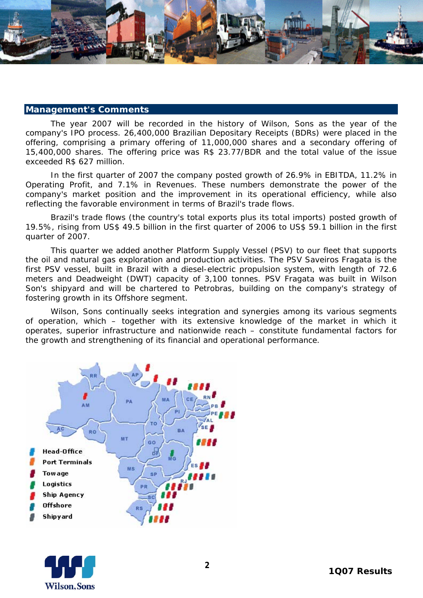

#### **Management's Comments**

The year 2007 will be recorded in the history of Wilson, Sons as the year of the company's IPO process. 26,400,000 Brazilian Depositary Receipts (BDRs) were placed in the offering, comprising a primary offering of 11,000,000 shares and a secondary offering of 15,400,000 shares. The offering price was R\$ 23.77/BDR and the total value of the issue exceeded R\$ 627 million.

In the first quarter of 2007 the company posted growth of 26.9% in EBITDA, 11.2% in Operating Profit, and 7.1% in Revenues. These numbers demonstrate the power of the company's market position and the improvement in its operational efficiency, while also reflecting the favorable environment in terms of Brazil's trade flows.

Brazil's trade flows (the country's total exports plus its total imports) posted growth of 19.5%, rising from US\$ 49.5 billion in the first quarter of 2006 to US\$ 59.1 billion in the first quarter of 2007.

This quarter we added another Platform Supply Vessel (PSV) to our fleet that supports the oil and natural gas exploration and production activities. The PSV Saveiros Fragata is the first PSV vessel, built in Brazil with a diesel-electric propulsion system, with length of 72.6 meters and Deadweight (DWT) capacity of 3,100 tonnes. PSV Fragata was built in Wilson Son's shipyard and will be chartered to Petrobras, building on the company's strategy of fostering growth in its Offshore segment.

 Wilson, Sons continually seeks integration and synergies among its various segments of operation, which – together with its extensive knowledge of the market in which it operates, superior infrastructure and nationwide reach – constitute fundamental factors for the growth and strengthening of its financial and operational performance.



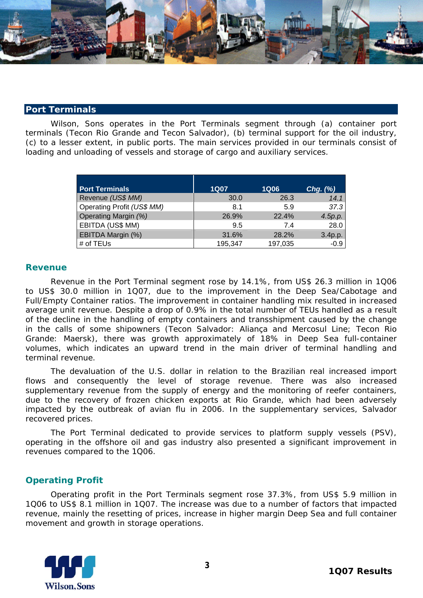

#### **Port Terminals**

Wilson, Sons operates in the Port Terminals segment through (a) container port terminals (Tecon Rio Grande and Tecon Salvador), (b) terminal support for the oil industry, (c) to a lesser extent, in public ports. The main services provided in our terminals consist of loading and unloading of vessels and storage of cargo and auxiliary services.

| <b>Port Terminals</b>      | <b>1Q07</b> | <b>1Q06</b> | Chg. $(\%)$ |
|----------------------------|-------------|-------------|-------------|
| Revenue (US\$ MM)          | 30.0        | 26.3        | 14.1        |
| Operating Profit (US\$ MM) | 8.1         | 5.9         | 37.3        |
| Operating Margin (%)       | 26.9%       | 22.4%       | 4.5p.p.     |
| EBITDA (US\$ MM)           | 9.5         | 7.4         | 28.0        |
| EBITDA Margin (%)          | 31.6%       | 28.2%       | 3.4p.p.     |
| # of TEUs                  | 195,347     | 197,035     | $-0.9$      |

#### **Revenue**

Revenue in the Port Terminal segment rose by 14.1%, from US\$ 26.3 million in 1Q06 to US\$ 30.0 million in 1Q07, due to the improvement in the Deep Sea/Cabotage and Full/Empty Container ratios. The improvement in container handling mix resulted in increased average unit revenue. Despite a drop of 0.9% in the total number of TEUs handled as a result of the decline in the handling of empty containers and transshipment caused by the change in the calls of some shipowners (Tecon Salvador: Aliança and Mercosul Line; Tecon Rio Grande: Maersk), there was growth approximately of 18% in Deep Sea full-container volumes, which indicates an upward trend in the main driver of terminal handling and terminal revenue.

The devaluation of the U.S. dollar in relation to the Brazilian *real* increased import flows and consequently the level of storage revenue. There was also increased supplementary revenue from the supply of energy and the monitoring of reefer containers, due to the recovery of frozen chicken exports at Rio Grande, which had been adversely impacted by the outbreak of avian flu in 2006. In the supplementary services, Salvador recovered prices.

The Port Terminal dedicated to provide services to platform supply vessels (PSV), operating in the offshore oil and gas industry also presented a significant improvement in revenues compared to the 1Q06.

### **Operating Profit**

Operating profit in the Port Terminals segment rose 37.3%, from US\$ 5.9 million in 1Q06 to US\$ 8.1 million in 1Q07. The increase was due to a number of factors that impacted revenue, mainly the resetting of prices, increase in higher margin Deep Sea and full container movement and growth in storage operations.

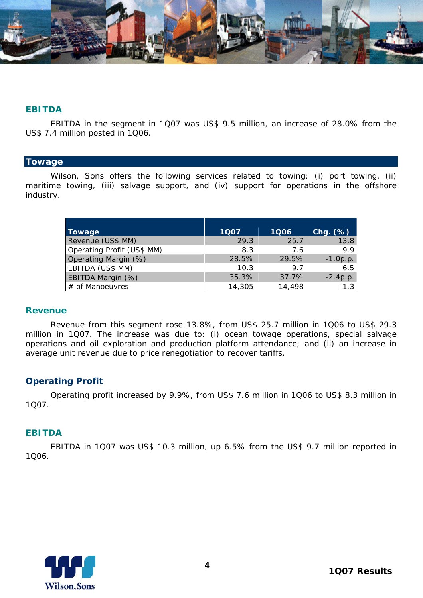

### **EBITDA**

EBITDA in the segment in 1Q07 was US\$ 9.5 million, an increase of 28.0% from the US\$ 7.4 million posted in 1Q06.

#### **Towage**

Wilson, Sons offers the following services related to towing: (i) port towing, (ii) maritime towing, (iii) salvage support, and (iv) support for operations in the offshore industry.

| Towage                     | 1007   | 1Q06   | $Chg.$ $(\%)$ |
|----------------------------|--------|--------|---------------|
| Revenue (US\$ MM)          | 29.3   | 25.7   | 13.8          |
| Operating Profit (US\$ MM) | 8.3    | 7.6    | 9.9           |
| Operating Margin (%)       | 28.5%  | 29.5%  | $-1.0 p.p.$   |
| EBITDA (US\$ MM)           | 10.3   | 97     | 6.5           |
| EBITDA Margin (%)          | 35.3%  | 37.7%  | $-2.4p.p.$    |
| # of Manoeuvres            | 14,305 | 14,498 | $-1.3$        |

### **Revenue**

Revenue from this segment rose 13.8%, from US\$ 25.7 million in 1Q06 to US\$ 29.3 million in 1Q07. The increase was due to: (i) ocean towage operations, special salvage operations and oil exploration and production platform attendance; and (ii) an increase in average unit revenue due to price renegotiation to recover tariffs.

# **Operating Profit**

Operating profit increased by 9.9%, from US\$ 7.6 million in 1Q06 to US\$ 8.3 million in 1Q07.

### **EBITDA**

EBITDA in 1Q07 was US\$ 10.3 million, up 6.5% from the US\$ 9.7 million reported in 1Q06.

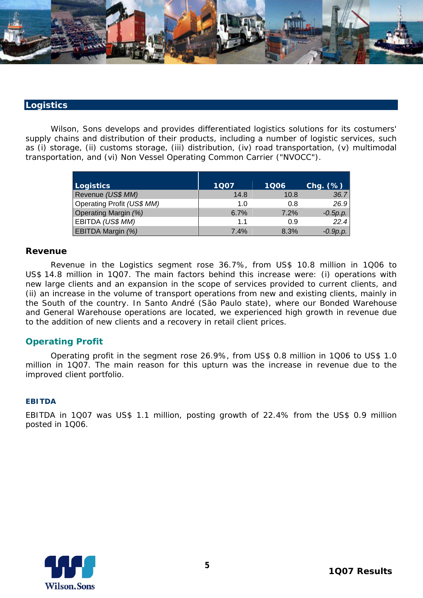

### **Logistics**

Wilson, Sons develops and provides differentiated logistics solutions for its costumers' supply chains and distribution of their products, including a number of logistic services, such as (i) storage, (ii) customs storage, (iii) distribution, (iv) road transportation, (v) multimodal transportation, and (vi) Non Vessel Operating Common Carrier ("NVOCC").

| Logistics                   | 1Q07        | 1Q06 | $Chg.$ $(\%)$ |
|-----------------------------|-------------|------|---------------|
| Revenue (US\$ MM)           | 14.8        | 10.8 | 36.7          |
| Operating Profit (US\$ MM)  | 1. $\Omega$ | 0.8  | 26.9          |
| <b>Operating Margin (%)</b> | 6.7%        | 7.2% | $-0.5p.p.$    |
| EBITDA (US\$ MM)            | 1.1         | 0.9  | 22.4          |
| EBITDA Margin (%)           | 7.4%        | 8.3% | $-0.9p.p.$    |

### **Revenue**

Revenue in the Logistics segment rose 36.7%, from US\$ 10.8 million in 1Q06 to US\$ 14.8 million in 1Q07. The main factors behind this increase were: (i) operations with new large clients and an expansion in the scope of services provided to current clients, and (ii) an increase in the volume of transport operations from new and existing clients, mainly in the South of the country. In Santo André (São Paulo state), where our Bonded Warehouse and General Warehouse operations are located, we experienced high growth in revenue due to the addition of new clients and a recovery in retail client prices.

# **Operating Profit**

Operating profit in the segment rose 26.9%, from US\$ 0.8 million in 1Q06 to US\$ 1.0 million in 1Q07. The main reason for this upturn was the increase in revenue due to the improved client portfolio.

#### **EBITDA**

EBITDA in 1Q07 was US\$ 1.1 million, posting growth of 22.4% from the US\$ 0.9 million posted in 1Q06.

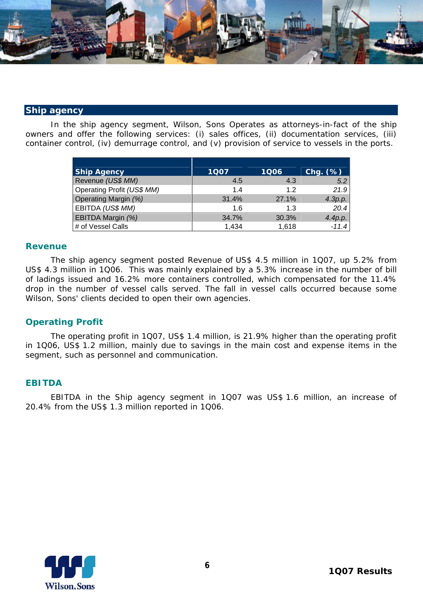

### **Ship agency**

In the ship agency segment, Wilson, Sons Operates as attorneys-in-fact of the ship owners and offer the following services: (i) sales offices, (ii) documentation services, (iii) container control, (iv) demurrage control, and (v) provision of service to vessels in the ports.

| <b>Ship Agency</b>          | 1007  | 1Q06  | $Chg.$ $(\%)$ |
|-----------------------------|-------|-------|---------------|
| Revenue (US\$ MM)           | 4.5   | 4.3   | 5.2           |
| Operating Profit (US\$ MM)  | $14$  | 12    | 21.9          |
| <b>Operating Margin (%)</b> | 31.4% | 27.1% | 4.3p.p.       |
| EBITDA (US\$ MM)            | 1.6   | 1.3   | 20.4          |
| EBITDA Margin (%)           | 34.7% | 30.3% | 4.4p.p.       |
| # of Vessel Calls           | 1,434 | 1,618 | $-11.4$       |

#### **Revenue**

The ship agency segment posted Revenue of US\$ 4.5 million in 1Q07, up 5.2% from US\$ 4.3 million in 1Q06. This was mainly explained by a 5.3% increase in the number of bill of ladings issued and 16.2% more containers controlled, which compensated for the 11.4% drop in the number of vessel calls served. The fall in vessel calls occurred because some Wilson, Sons' clients decided to open their own agencies.

# **Operating Profit**

The operating profit in 1Q07, US\$ 1.4 million, is 21.9% higher than the operating profit in 1Q06, US\$ 1.2 million, mainly due to savings in the main cost and expense items in the segment, such as personnel and communication.

### **EBITDA**

EBITDA in the Ship agency segment in 1Q07 was US\$ 1.6 million, an increase of 20.4% from the US\$ 1.3 million reported in 1Q06.

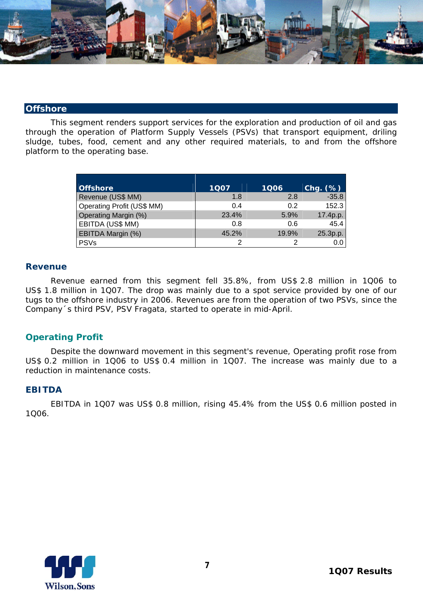

#### **Offshore**

This segment renders support services for the exploration and production of oil and gas through the operation of Platform Supply Vessels (PSVs) that transport equipment, driling sludge, tubes, food, cement and any other required materials, to and from the offshore platform to the operating base.

| <b>Offshore</b>             | 1Q07  | 1Q06  | $Chg.$ $(%)$ |
|-----------------------------|-------|-------|--------------|
| Revenue (US\$ MM)           | 1.8   | 2.8   | $-35.8$      |
| Operating Profit (US\$ MM)  | 0.4   | 0.2   | 152.3        |
| <b>Operating Margin (%)</b> | 23.4% | 5.9%  | 17.4p.p.     |
| EBITDA (US\$ MM)            | 0.8   | 0.6   | 45.4         |
| EBITDA Margin (%)           | 45.2% | 19.9% | 25.3p.p.     |
| <b>PSVs</b>                 |       |       |              |

### **Revenue**

Revenue earned from this segment fell 35.8%, from US\$ 2.8 million in 1Q06 to US\$ 1.8 million in 1Q07. The drop was mainly due to a spot service provided by one of our tugs to the offshore industry in 2006. Revenues are from the operation of two PSVs, since the Company´s third PSV, PSV Fragata, started to operate in mid-April.

# **Operating Profit**

Despite the downward movement in this segment's revenue, Operating profit rose from US\$ 0.2 million in 1Q06 to US\$ 0.4 million in 1Q07. The increase was mainly due to a reduction in maintenance costs.

### **EBITDA**

EBITDA in 1Q07 was US\$ 0.8 million, rising 45.4% from the US\$ 0.6 million posted in 1Q06.

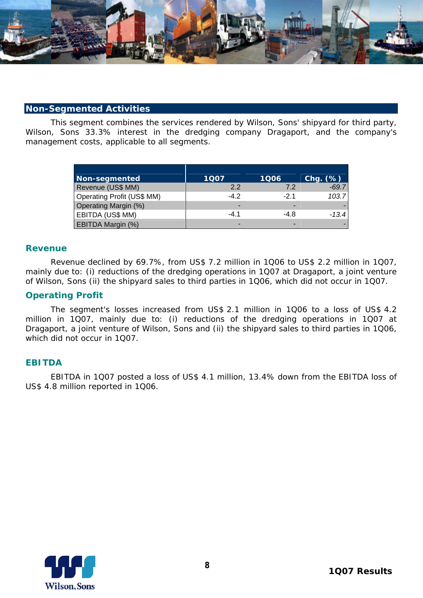

#### **Non-Segmented Activities**

This segment combines the services rendered by Wilson, Sons' shipyard for third party, Wilson, Sons 33.3% interest in the dredging company Dragaport, and the company's management costs, applicable to all segments.

| Non-segmented                     | 1Q07   | 1Q06  | Chg. (%) |
|-----------------------------------|--------|-------|----------|
| Revenue (US\$ MM)                 | 22     | 72    | $-69.7$  |
| <b>Operating Profit (US\$ MM)</b> | $-4.2$ | $-21$ | 103.7    |
| <b>Operating Margin (%)</b>       | -      | -     |          |
| EBITDA (US\$ MM)                  | $-4.1$ | -4.8  | $-13.4$  |
| <b>EBITDA Margin (%)</b>          |        |       |          |

#### **Revenue**

Revenue declined by 69.7%, from US\$ 7.2 million in 1Q06 to US\$ 2.2 million in 1Q07, mainly due to: (i) reductions of the dredging operations in 1Q07 at Dragaport, a joint venture of Wilson, Sons (ii) the shipyard sales to third parties in 1Q06, which did not occur in 1Q07.

### **Operating Profit**

The segment's losses increased from US\$ 2.1 million in 1Q06 to a loss of US\$ 4.2 million in 1Q07, mainly due to: (i) reductions of the dredging operations in 1Q07 at Dragaport, a joint venture of Wilson, Sons and (ii) the shipyard sales to third parties in 1Q06, which did not occur in 1Q07.

### **EBITDA**

EBITDA in 1Q07 posted a loss of US\$ 4.1 million, 13.4% down from the EBITDA loss of US\$ 4.8 million reported in 1Q06.

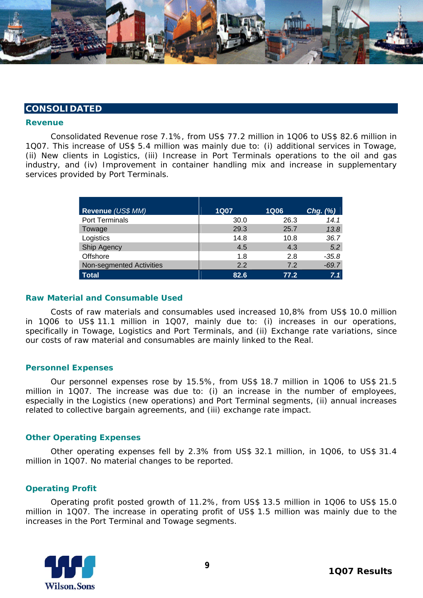

#### **CONSOLIDATED**

#### **Revenue**

 Consolidated Revenue rose 7.1%, from US\$ 77.2 million in 1Q06 to US\$ 82.6 million in 1Q07. This increase of US\$ 5.4 million was mainly due to: (i) additional services in Towage, (ii) New clients in Logistics, (iii) Increase in Port Terminals operations to the oil and gas industry, and (iv) Improvement in container handling mix and increase in supplementary services provided by Port Terminals.

| Revenue (US\$ MM)        | <b>1Q07</b> | <b>1Q06</b> | $Chg.$ $(\%)$ |
|--------------------------|-------------|-------------|---------------|
| <b>Port Terminals</b>    | 30.0        | 26.3        | 14.1          |
| Towage                   | 29.3        | 25.7        | 13.8          |
| Logistics                | 14.8        | 10.8        | 36.7          |
| Ship Agency              | 4.5         | 4.3         | 5.2           |
| Offshore                 | 1.8         | 2.8         | $-35.8$       |
| Non-segmented Activities | 2.2         | 7.2         | $-69.7$       |
| <b>Total</b>             | 82.6        | 77.2        | 7.1           |

#### **Raw Material and Consumable Used**

Costs of raw materials and consumables used increased 10,8% from US\$ 10.0 million in 1Q06 to US\$ 11.1 million in 1Q07, mainly due to: (i) increases in our operations, specifically in Towage, Logistics and Port Terminals, and (ii) Exchange rate variations, since our costs of raw material and consumables are mainly linked to the Real.

#### **Personnel Expenses**

Our personnel expenses rose by 15.5%, from US\$ 18.7 million in 1Q06 to US\$ 21.5 million in 1Q07. The increase was due to: (i) an increase in the number of employees, especially in the Logistics (new operations) and Port Terminal segments, (ii) annual increases related to collective bargain agreements, and (iii) exchange rate impact.

#### **Other Operating Expenses**

Other operating expenses fell by 2.3% from US\$ 32.1 million, in 1Q06, to US\$ 31.4 million in 1Q07. No material changes to be reported.

#### **Operating Profit**

Operating profit posted growth of 11.2%, from US\$ 13.5 million in 1Q06 to US\$ 15.0 million in 1Q07. The increase in operating profit of US\$ 1.5 million was mainly due to the increases in the Port Terminal and Towage segments.

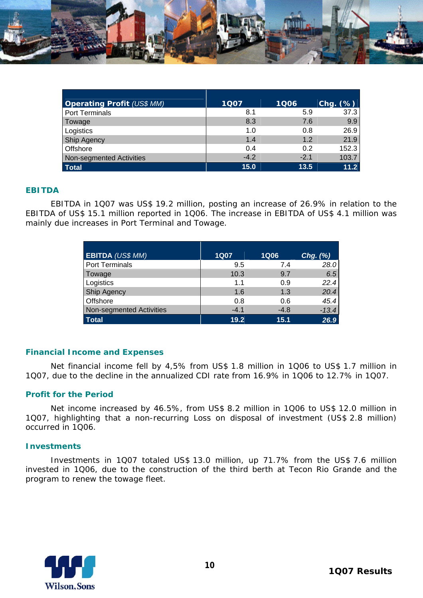

| <b>Operating Profit (US\$ MM)</b> | 1007   | <b>1Q06</b> | $Chg.$ $(\%)$ |
|-----------------------------------|--------|-------------|---------------|
| <b>Port Terminals</b>             | 8.1    | 5.9         | 37.3          |
| Towage                            | 8.3    | 7.6         | 9.9           |
| Logistics                         | 1.0    | 0.8         | 26.9          |
| Ship Agency                       | 1.4    | 1.2         | 21.9          |
| Offshore                          | 0.4    | 0.2         | 152.3         |
| Non-segmented Activities          | $-4.2$ | $-2.1$      | 103.7         |
| Total                             | 15.0   | 13.5        | 11.2          |

# **EBITDA**

EBITDA in 1Q07 was US\$ 19.2 million, posting an increase of 26.9% in relation to the EBITDA of US\$ 15.1 million reported in 1Q06. The increase in EBITDA of US\$ 4.1 million was mainly due increases in Port Terminal and Towage.

| <b>EBITDA (US\$ MM)</b>  | <b>1Q07</b> | <b>1Q06</b> | $Chg.$ $(\%)$ |
|--------------------------|-------------|-------------|---------------|
| Port Terminals           | 9.5         | 7.4         | 28.0          |
| Towage                   | 10.3        | 9.7         | 6.5           |
| Logistics                | 1.1         | 0.9         | 22.4          |
| <b>Ship Agency</b>       | 1.6         | 1.3         | 20.4          |
| Offshore                 | 0.8         | 0.6         | 45.4          |
| Non-segmented Activities | $-4.1$      | $-4.8$      | $-13.4$       |
| <b>Total</b>             | 19.2        | 15.1        | 26.9          |

### **Financial Income and Expenses**

Net financial income fell by 4,5% from US\$ 1.8 million in 1Q06 to US\$ 1.7 million in 1Q07, due to the decline in the annualized CDI rate from 16.9% in 1Q06 to 12.7% in 1Q07.

### **Profit for the Period**

Net income increased by 46.5%, from US\$ 8.2 million in 1Q06 to US\$ 12.0 million in 1Q07, highlighting that a non-recurring Loss on disposal of investment (US\$ 2.8 million) occurred in 1Q06.

#### **Investments**

Investments in 1Q07 totaled US\$ 13.0 million, up 71.7% from the US\$ 7.6 million invested in 1Q06, due to the construction of the third berth at Tecon Rio Grande and the program to renew the towage fleet.

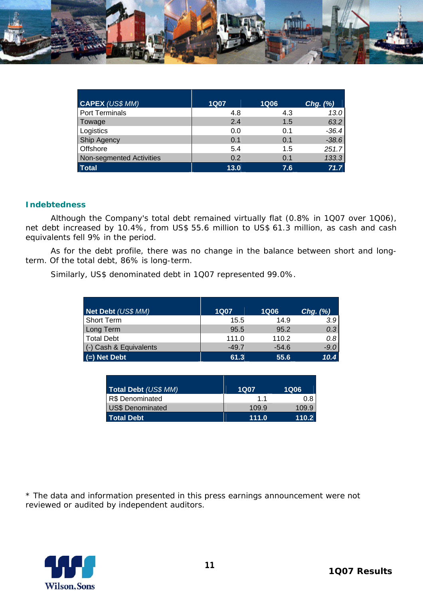

| <b>CAPEX (US\$ MM)</b>   | <b>1Q07</b> | 1Q06 | Chg. $(\%)$ |
|--------------------------|-------------|------|-------------|
| Port Terminals           | 4.8         | 4.3  | 13.0        |
| Towage                   | 2.4         | 1.5  | 63.2        |
| Logistics                | 0.0         | 0.1  | $-36.4$     |
| Ship Agency              | 0.1         | 0.1  | $-38.6$     |
| Offshore                 | 5.4         | 1.5  | 251.7       |
| Non-segmented Activities | 0.2         | 0.1  | 133.3       |
| <b>Total</b>             | 13.0        | 7.6  | 71.7        |

### **Indebtedness**

Although the Company's total debt remained virtually flat (0.8% in 1Q07 over 1Q06), net debt increased by 10.4%, from US\$ 55.6 million to US\$ 61.3 million, as cash and cash equivalents fell 9% in the period.

As for the debt profile, there was no change in the balance between short and longterm. Of the total debt, 86% is long-term.

Similarly, US\$ denominated debt in 1Q07 represented 99.0%.

| Net Debt (US\$ MM)     | <b>1Q07</b> | <b>1Q06</b> | $Chg.$ $(\%)$  |
|------------------------|-------------|-------------|----------------|
| <b>Short Term</b>      | 15.5        | 14.9        | 3.9            |
| Long Term              | 95.5        | 95.2        | 0.3            |
| <b>Total Debt</b>      | 111.0       | 110.2       | 0.8            |
| (-) Cash & Equivalents | $-49.7$     | $-54.6$     | $-9.0$         |
| $=$ Net Debt           | 61.3        | 55.6        | $10.4^{\circ}$ |

| Total Debt (US\$ MM)    | <b>1Q07</b> | <b>1Q06</b> |
|-------------------------|-------------|-------------|
| R\$ Denominated         | 11          | 0.8         |
| <b>US\$ Denominated</b> | 109.9       | 109.9       |
| <b>Total Debt</b>       | 111.0       | 110.2       |

\* The data and information presented in this press earnings announcement were not reviewed or audited by independent auditors.

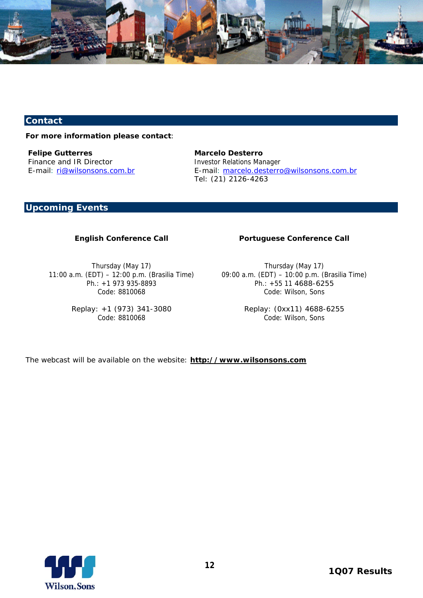

# **Contact**

#### **For more information please contact**:

*Felipe Gutterres*  Finance and IR Director E-mail: ri@wilsonsons.com.br *Marcelo Desterro*  Investor Relations Manager E-mail: marcelo.desterro@wilsonsons.com.br Tel: (21) 2126-4263

# **Upcoming Events**

#### **English Conference Call**

Thursday (May 17) 11:00 a.m. (EDT) – 12:00 p.m. (Brasilia Time) Ph.: +1 973 935-8893 Code: 8810068

> Replay: +1 (973) 341-3080 Code: 8810068

### **Portuguese Conference Call**

Thursday (May 17) 09:00 a.m. (EDT) – 10:00 p.m. (Brasilia Time) Ph.: +55 11 4688-6255 Code: Wilson, Sons

> Replay: (0xx11) 4688-6255 Code: Wilson, Sons

The webcast will be available on the website: **http://www.wilsonsons.com**

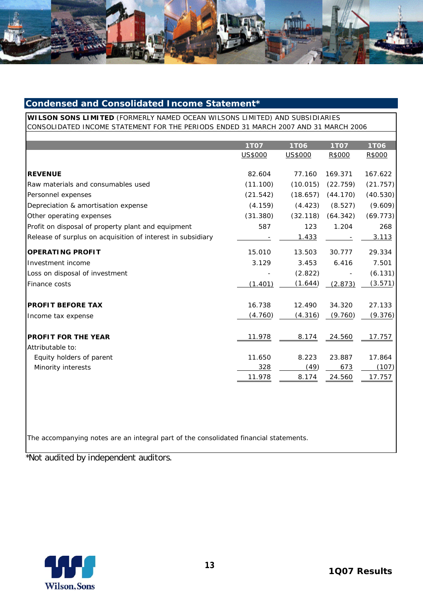

# **Condensed and Consolidated Income Statement\***

**WILSON SONS LIMITED** (FORMERLY NAMED OCEAN WILSONS LIMITED) AND SUBSIDIARIES CONSOLIDATED INCOME STATEMENT FOR THE PERIODS ENDED 31 MARCH 2007 AND 31 MARCH 2006

|                                                             | <b>1TO7</b> | <b>1T06</b> | <b>1TO7</b> | <b>1T06</b> |
|-------------------------------------------------------------|-------------|-------------|-------------|-------------|
|                                                             | US\$000     | US\$000     | R\$000      | R\$000      |
| <b>REVENUE</b>                                              | 82.604      | 77.160      | 169.371     | 167.622     |
| Raw materials and consumables used                          | (11.100)    | (10.015)    | (22.759)    | (21.757)    |
| Personnel expenses                                          | (21.542)    | (18.657)    | (44.170)    | (40.530)    |
| Depreciation & amortisation expense                         | (4.159)     | (4.423)     | (8.527)     | (9.609)     |
| Other operating expenses                                    | (31.380)    | (32.118)    | (64.342)    | (69.773)    |
| Profit on disposal of property plant and equipment          | 587         | 123         | 1.204       | 268         |
| Release of surplus on acquisition of interest in subsidiary |             | 1.433       |             | 3.113       |
| <b>OPERATING PROFIT</b>                                     | 15.010      | 13.503      | 30.777      | 29.334      |
| Investment income                                           | 3.129       | 3.453       | 6.416       | 7.501       |
| Loss on disposal of investment                              |             | (2.822)     |             | (6.131)     |
| Finance costs                                               | (1.401)     | (1.644)     | (2.873)     | (3.571)     |
| <b>PROFIT BEFORE TAX</b>                                    | 16.738      | 12.490      | 34.320      | 27.133      |
| Income tax expense                                          | (4.760)     | (4.316)     | (9.760)     | (9.376)     |
| <b>PROFIT FOR THE YEAR</b>                                  | 11.978      | 8.174       | 24.560      | 17.757      |
| Attributable to:                                            |             |             |             |             |
| Equity holders of parent                                    | 11.650      | 8.223       | 23.887      | 17.864      |
| Minority interests                                          | 328         | (49)        | 673         | (107)       |
|                                                             | 11.978      | 8.174       | 24.560      | 17.757      |

The accompanying notes are an integral part of the consolidated financial statements.

\*Not audited by independent auditors.